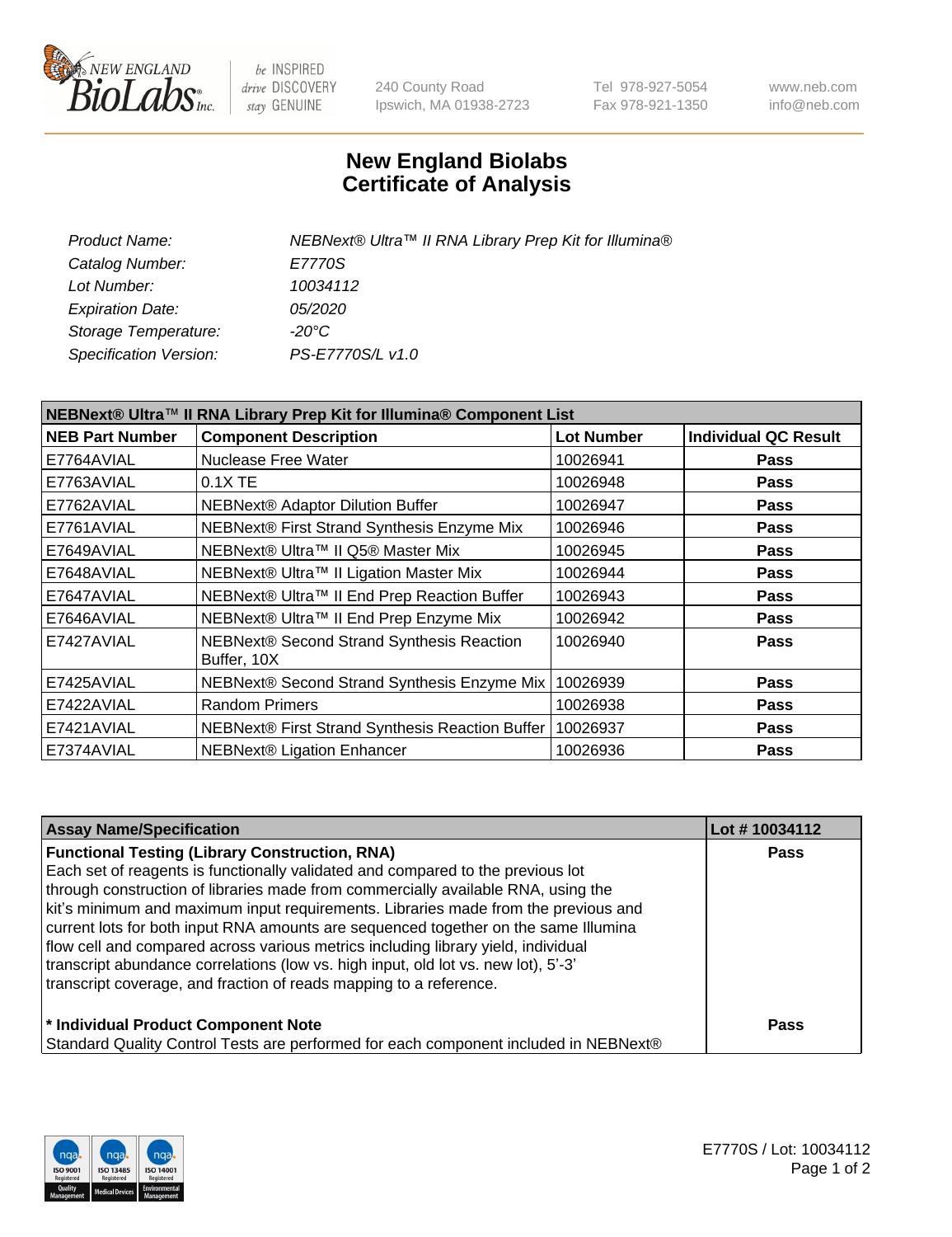

be INSPIRED drive DISCOVERY stay GENUINE

240 County Road Ipswich, MA 01938-2723 Tel 978-927-5054 Fax 978-921-1350 www.neb.com info@neb.com

## **New England Biolabs Certificate of Analysis**

| Product Name:           | NEBNext® Ultra™ II RNA Library Prep Kit for Illumina® |
|-------------------------|-------------------------------------------------------|
| Catalog Number:         | E7770S                                                |
| Lot Number:             | 10034112                                              |
| <b>Expiration Date:</b> | <i>05/2020</i>                                        |
| Storage Temperature:    | -20°C                                                 |
| Specification Version:  | PS-E7770S/L v1.0                                      |
|                         |                                                       |

| NEBNext® Ultra™ II RNA Library Prep Kit for Illumina® Component List |                                                          |                   |                             |  |  |
|----------------------------------------------------------------------|----------------------------------------------------------|-------------------|-----------------------------|--|--|
| <b>NEB Part Number</b>                                               | <b>Component Description</b>                             | <b>Lot Number</b> | <b>Individual QC Result</b> |  |  |
| E7764AVIAL                                                           | <b>Nuclease Free Water</b>                               | 10026941          | <b>Pass</b>                 |  |  |
| E7763AVIAL                                                           | 0.1X TE                                                  | 10026948          | <b>Pass</b>                 |  |  |
| E7762AVIAL                                                           | NEBNext® Adaptor Dilution Buffer                         | 10026947          | <b>Pass</b>                 |  |  |
| E7761AVIAL                                                           | NEBNext® First Strand Synthesis Enzyme Mix               | 10026946          | <b>Pass</b>                 |  |  |
| E7649AVIAL                                                           | NEBNext® Ultra™ II Q5® Master Mix                        | 10026945          | <b>Pass</b>                 |  |  |
| E7648AVIAL                                                           | NEBNext® Ultra™ II Ligation Master Mix                   | 10026944          | <b>Pass</b>                 |  |  |
| E7647AVIAL                                                           | NEBNext® Ultra™ II End Prep Reaction Buffer              | 10026943          | <b>Pass</b>                 |  |  |
| E7646AVIAL                                                           | NEBNext® Ultra™ II End Prep Enzyme Mix                   | 10026942          | <b>Pass</b>                 |  |  |
| E7427AVIAL                                                           | NEBNext® Second Strand Synthesis Reaction<br>Buffer, 10X | 10026940          | <b>Pass</b>                 |  |  |
| E7425AVIAL                                                           | NEBNext® Second Strand Synthesis Enzyme Mix              | 10026939          | <b>Pass</b>                 |  |  |
| E7422AVIAL                                                           | <b>Random Primers</b>                                    | 10026938          | <b>Pass</b>                 |  |  |
| E7421AVIAL                                                           | NEBNext® First Strand Synthesis Reaction Buffer          | 10026937          | <b>Pass</b>                 |  |  |
| E7374AVIAL                                                           | <b>NEBNext® Ligation Enhancer</b>                        | 10026936          | <b>Pass</b>                 |  |  |

| <b>Assay Name/Specification</b>                                                      | Lot #10034112 |
|--------------------------------------------------------------------------------------|---------------|
| <b>Functional Testing (Library Construction, RNA)</b>                                | <b>Pass</b>   |
| Each set of reagents is functionally validated and compared to the previous lot      |               |
| through construction of libraries made from commercially available RNA, using the    |               |
| kit's minimum and maximum input requirements. Libraries made from the previous and   |               |
| current lots for both input RNA amounts are sequenced together on the same Illumina  |               |
| flow cell and compared across various metrics including library yield, individual    |               |
| transcript abundance correlations (low vs. high input, old lot vs. new lot), 5'-3'   |               |
| transcript coverage, and fraction of reads mapping to a reference.                   |               |
| * Individual Product Component Note                                                  | <b>Pass</b>   |
| Standard Quality Control Tests are performed for each component included in NEBNext® |               |